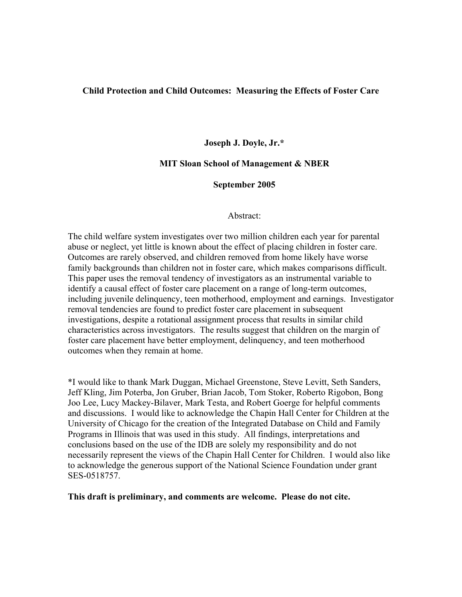### **Child Protection and Child Outcomes: Measuring the Effects of Foster Care**

**Joseph J. Doyle, Jr.\*** 

## **MIT Sloan School of Management & NBER**

## **September 2005**

#### Abstract:

The child welfare system investigates over two million children each year for parental abuse or neglect, yet little is known about the effect of placing children in foster care. Outcomes are rarely observed, and children removed from home likely have worse family backgrounds than children not in foster care, which makes comparisons difficult. This paper uses the removal tendency of investigators as an instrumental variable to identify a causal effect of foster care placement on a range of long-term outcomes, including juvenile delinquency, teen motherhood, employment and earnings. Investigator removal tendencies are found to predict foster care placement in subsequent investigations, despite a rotational assignment process that results in similar child characteristics across investigators. The results suggest that children on the margin of foster care placement have better employment, delinquency, and teen motherhood outcomes when they remain at home.

\*I would like to thank Mark Duggan, Michael Greenstone, Steve Levitt, Seth Sanders, Jeff Kling, Jim Poterba, Jon Gruber, Brian Jacob, Tom Stoker, Roberto Rigobon, Bong Joo Lee, Lucy Mackey-Bilaver, Mark Testa, and Robert Goerge for helpful comments and discussions. I would like to acknowledge the Chapin Hall Center for Children at the University of Chicago for the creation of the Integrated Database on Child and Family Programs in Illinois that was used in this study. All findings, interpretations and conclusions based on the use of the IDB are solely my responsibility and do not necessarily represent the views of the Chapin Hall Center for Children. I would also like to acknowledge the generous support of the National Science Foundation under grant SES-0518757.

**This draft is preliminary, and comments are welcome. Please do not cite.**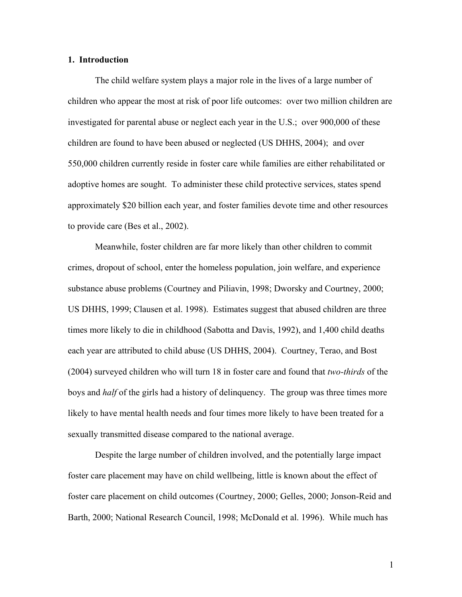#### **1. Introduction**

The child welfare system plays a major role in the lives of a large number of children who appear the most at risk of poor life outcomes: over two million children are investigated for parental abuse or neglect each year in the U.S.; over 900,000 of these children are found to have been abused or neglected (US DHHS, 2004); and over 550,000 children currently reside in foster care while families are either rehabilitated or adoptive homes are sought. To administer these child protective services, states spend approximately \$20 billion each year, and foster families devote time and other resources to provide care (Bes et al., 2002).

Meanwhile, foster children are far more likely than other children to commit crimes, dropout of school, enter the homeless population, join welfare, and experience substance abuse problems (Courtney and Piliavin, 1998; Dworsky and Courtney, 2000; US DHHS, 1999; Clausen et al. 1998). Estimates suggest that abused children are three times more likely to die in childhood (Sabotta and Davis, 1992), and 1,400 child deaths each year are attributed to child abuse (US DHHS, 2004). Courtney, Terao, and Bost (2004) surveyed children who will turn 18 in foster care and found that *two-thirds* of the boys and *half* of the girls had a history of delinquency. The group was three times more likely to have mental health needs and four times more likely to have been treated for a sexually transmitted disease compared to the national average.

Despite the large number of children involved, and the potentially large impact foster care placement may have on child wellbeing, little is known about the effect of foster care placement on child outcomes (Courtney, 2000; Gelles, 2000; Jonson-Reid and Barth, 2000; National Research Council, 1998; McDonald et al. 1996). While much has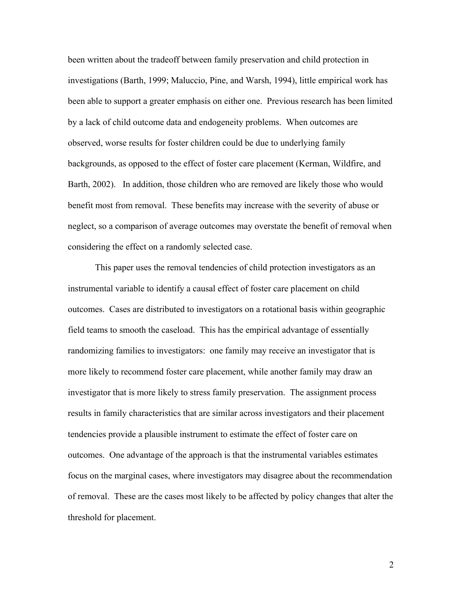been written about the tradeoff between family preservation and child protection in investigations (Barth, 1999; Maluccio, Pine, and Warsh, 1994), little empirical work has been able to support a greater emphasis on either one. Previous research has been limited by a lack of child outcome data and endogeneity problems. When outcomes are observed, worse results for foster children could be due to underlying family backgrounds, as opposed to the effect of foster care placement (Kerman, Wildfire, and Barth, 2002). In addition, those children who are removed are likely those who would benefit most from removal. These benefits may increase with the severity of abuse or neglect, so a comparison of average outcomes may overstate the benefit of removal when considering the effect on a randomly selected case.

This paper uses the removal tendencies of child protection investigators as an instrumental variable to identify a causal effect of foster care placement on child outcomes. Cases are distributed to investigators on a rotational basis within geographic field teams to smooth the caseload. This has the empirical advantage of essentially randomizing families to investigators: one family may receive an investigator that is more likely to recommend foster care placement, while another family may draw an investigator that is more likely to stress family preservation. The assignment process results in family characteristics that are similar across investigators and their placement tendencies provide a plausible instrument to estimate the effect of foster care on outcomes. One advantage of the approach is that the instrumental variables estimates focus on the marginal cases, where investigators may disagree about the recommendation of removal. These are the cases most likely to be affected by policy changes that alter the threshold for placement.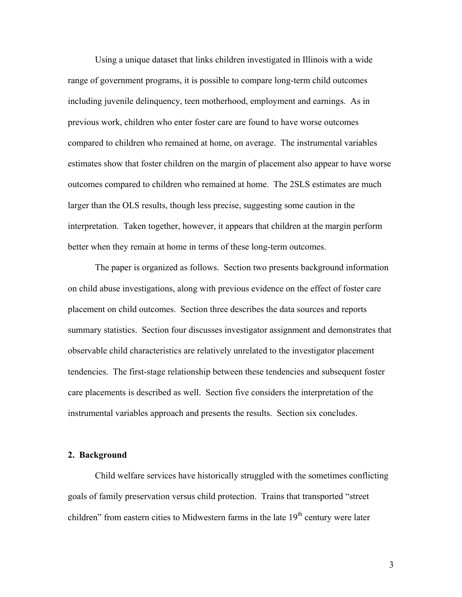Using a unique dataset that links children investigated in Illinois with a wide range of government programs, it is possible to compare long-term child outcomes including juvenile delinquency, teen motherhood, employment and earnings. As in previous work, children who enter foster care are found to have worse outcomes compared to children who remained at home, on average. The instrumental variables estimates show that foster children on the margin of placement also appear to have worse outcomes compared to children who remained at home. The 2SLS estimates are much larger than the OLS results, though less precise, suggesting some caution in the interpretation. Taken together, however, it appears that children at the margin perform better when they remain at home in terms of these long-term outcomes.

The paper is organized as follows. Section two presents background information on child abuse investigations, along with previous evidence on the effect of foster care placement on child outcomes. Section three describes the data sources and reports summary statistics. Section four discusses investigator assignment and demonstrates that observable child characteristics are relatively unrelated to the investigator placement tendencies. The first-stage relationship between these tendencies and subsequent foster care placements is described as well. Section five considers the interpretation of the instrumental variables approach and presents the results. Section six concludes.

#### **2. Background**

Child welfare services have historically struggled with the sometimes conflicting goals of family preservation versus child protection. Trains that transported "street children" from eastern cities to Midwestern farms in the late  $19<sup>th</sup>$  century were later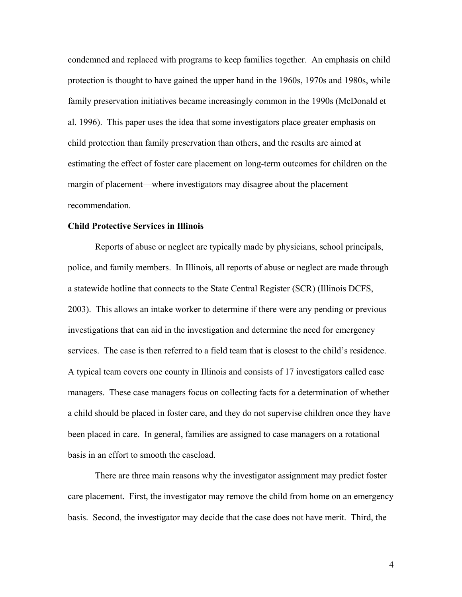condemned and replaced with programs to keep families together. An emphasis on child protection is thought to have gained the upper hand in the 1960s, 1970s and 1980s, while family preservation initiatives became increasingly common in the 1990s (McDonald et al. 1996). This paper uses the idea that some investigators place greater emphasis on child protection than family preservation than others, and the results are aimed at estimating the effect of foster care placement on long-term outcomes for children on the margin of placement—where investigators may disagree about the placement recommendation.

#### **Child Protective Services in Illinois**

Reports of abuse or neglect are typically made by physicians, school principals, police, and family members. In Illinois, all reports of abuse or neglect are made through a statewide hotline that connects to the State Central Register (SCR) (Illinois DCFS, 2003). This allows an intake worker to determine if there were any pending or previous investigations that can aid in the investigation and determine the need for emergency services. The case is then referred to a field team that is closest to the child's residence. A typical team covers one county in Illinois and consists of 17 investigators called case managers. These case managers focus on collecting facts for a determination of whether a child should be placed in foster care, and they do not supervise children once they have been placed in care. In general, families are assigned to case managers on a rotational basis in an effort to smooth the caseload.

There are three main reasons why the investigator assignment may predict foster care placement. First, the investigator may remove the child from home on an emergency basis. Second, the investigator may decide that the case does not have merit. Third, the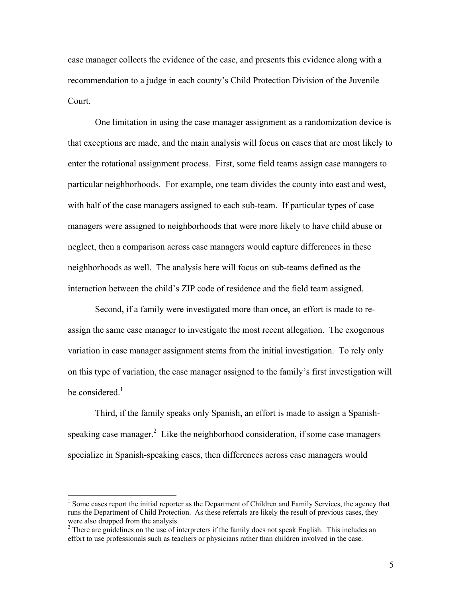case manager collects the evidence of the case, and presents this evidence along with a recommendation to a judge in each county's Child Protection Division of the Juvenile Court.

One limitation in using the case manager assignment as a randomization device is that exceptions are made, and the main analysis will focus on cases that are most likely to enter the rotational assignment process. First, some field teams assign case managers to particular neighborhoods. For example, one team divides the county into east and west, with half of the case managers assigned to each sub-team. If particular types of case managers were assigned to neighborhoods that were more likely to have child abuse or neglect, then a comparison across case managers would capture differences in these neighborhoods as well. The analysis here will focus on sub-teams defined as the interaction between the child's ZIP code of residence and the field team assigned.

Second, if a family were investigated more than once, an effort is made to reassign the same case manager to investigate the most recent allegation. The exogenous variation in case manager assignment stems from the initial investigation. To rely only on this type of variation, the case manager assigned to the family's first investigation will be considered. $<sup>1</sup>$ </sup>

Third, if the family speaks only Spanish, an effort is made to assign a Spanishspeaking case manager. $2$  Like the neighborhood consideration, if some case managers specialize in Spanish-speaking cases, then differences across case managers would

 $\overline{a}$ 

<sup>&</sup>lt;sup>1</sup> Some cases report the initial reporter as the Department of Children and Family Services, the agency that runs the Department of Child Protection. As these referrals are likely the result of previous cases, they were also dropped from the analysis.

 $2<sup>2</sup>$  There are guidelines on the use of interpreters if the family does not speak English. This includes an effort to use professionals such as teachers or physicians rather than children involved in the case.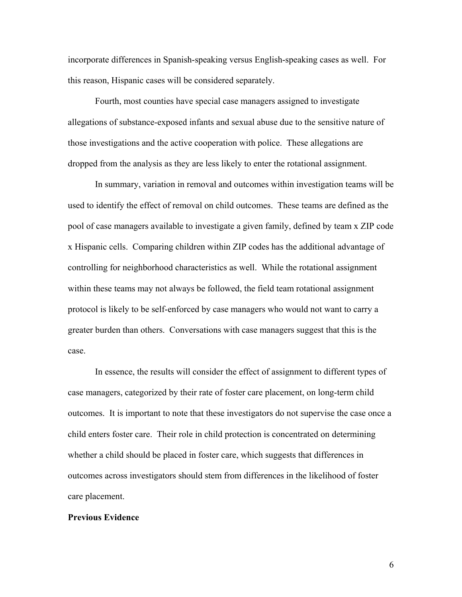incorporate differences in Spanish-speaking versus English-speaking cases as well. For this reason, Hispanic cases will be considered separately.

Fourth, most counties have special case managers assigned to investigate allegations of substance-exposed infants and sexual abuse due to the sensitive nature of those investigations and the active cooperation with police. These allegations are dropped from the analysis as they are less likely to enter the rotational assignment.

In summary, variation in removal and outcomes within investigation teams will be used to identify the effect of removal on child outcomes. These teams are defined as the pool of case managers available to investigate a given family, defined by team x ZIP code x Hispanic cells. Comparing children within ZIP codes has the additional advantage of controlling for neighborhood characteristics as well. While the rotational assignment within these teams may not always be followed, the field team rotational assignment protocol is likely to be self-enforced by case managers who would not want to carry a greater burden than others. Conversations with case managers suggest that this is the case.

In essence, the results will consider the effect of assignment to different types of case managers, categorized by their rate of foster care placement, on long-term child outcomes. It is important to note that these investigators do not supervise the case once a child enters foster care. Their role in child protection is concentrated on determining whether a child should be placed in foster care, which suggests that differences in outcomes across investigators should stem from differences in the likelihood of foster care placement.

#### **Previous Evidence**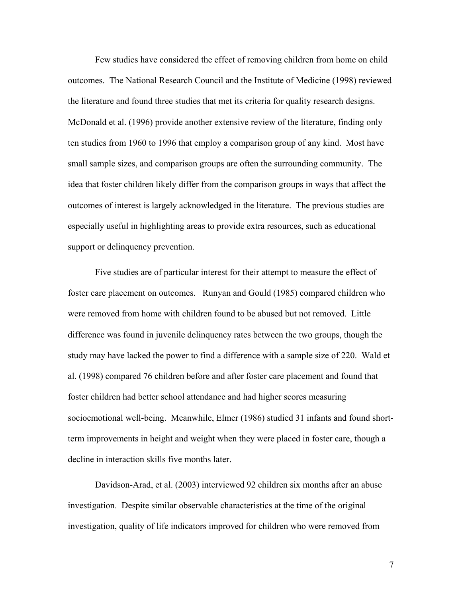Few studies have considered the effect of removing children from home on child outcomes. The National Research Council and the Institute of Medicine (1998) reviewed the literature and found three studies that met its criteria for quality research designs. McDonald et al. (1996) provide another extensive review of the literature, finding only ten studies from 1960 to 1996 that employ a comparison group of any kind. Most have small sample sizes, and comparison groups are often the surrounding community. The idea that foster children likely differ from the comparison groups in ways that affect the outcomes of interest is largely acknowledged in the literature. The previous studies are especially useful in highlighting areas to provide extra resources, such as educational support or delinquency prevention.

Five studies are of particular interest for their attempt to measure the effect of foster care placement on outcomes. Runyan and Gould (1985) compared children who were removed from home with children found to be abused but not removed. Little difference was found in juvenile delinquency rates between the two groups, though the study may have lacked the power to find a difference with a sample size of 220. Wald et al. (1998) compared 76 children before and after foster care placement and found that foster children had better school attendance and had higher scores measuring socioemotional well-being. Meanwhile, Elmer (1986) studied 31 infants and found shortterm improvements in height and weight when they were placed in foster care, though a decline in interaction skills five months later.

Davidson-Arad, et al. (2003) interviewed 92 children six months after an abuse investigation. Despite similar observable characteristics at the time of the original investigation, quality of life indicators improved for children who were removed from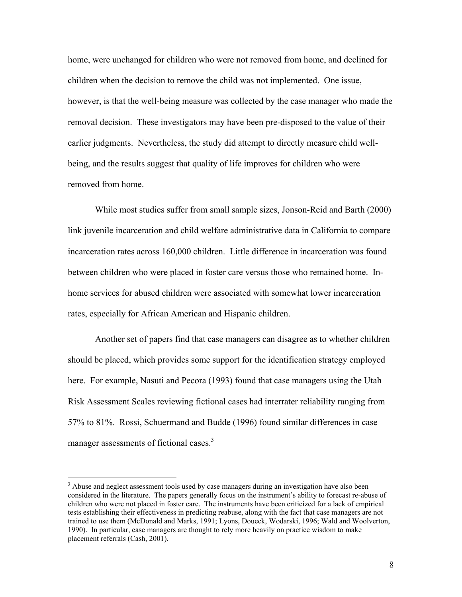home, were unchanged for children who were not removed from home, and declined for children when the decision to remove the child was not implemented. One issue, however, is that the well-being measure was collected by the case manager who made the removal decision. These investigators may have been pre-disposed to the value of their earlier judgments. Nevertheless, the study did attempt to directly measure child wellbeing, and the results suggest that quality of life improves for children who were removed from home.

While most studies suffer from small sample sizes, Jonson-Reid and Barth (2000) link juvenile incarceration and child welfare administrative data in California to compare incarceration rates across 160,000 children. Little difference in incarceration was found between children who were placed in foster care versus those who remained home. Inhome services for abused children were associated with somewhat lower incarceration rates, especially for African American and Hispanic children.

Another set of papers find that case managers can disagree as to whether children should be placed, which provides some support for the identification strategy employed here. For example, Nasuti and Pecora (1993) found that case managers using the Utah Risk Assessment Scales reviewing fictional cases had interrater reliability ranging from 57% to 81%. Rossi, Schuermand and Budde (1996) found similar differences in case manager assessments of fictional cases.<sup>3</sup>

<u>.</u>

<sup>&</sup>lt;sup>3</sup> Abuse and neglect assessment tools used by case managers during an investigation have also been considered in the literature. The papers generally focus on the instrument's ability to forecast re-abuse of children who were not placed in foster care. The instruments have been criticized for a lack of empirical tests establishing their effectiveness in predicting reabuse, along with the fact that case managers are not trained to use them (McDonald and Marks, 1991; Lyons, Doueck, Wodarski, 1996; Wald and Woolverton, 1990). In particular, case managers are thought to rely more heavily on practice wisdom to make placement referrals (Cash, 2001).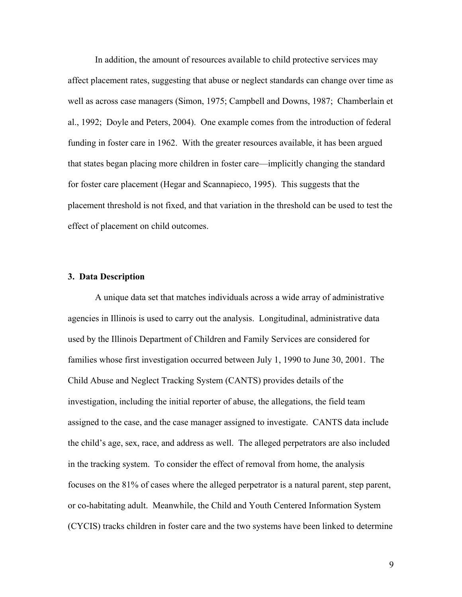In addition, the amount of resources available to child protective services may affect placement rates, suggesting that abuse or neglect standards can change over time as well as across case managers (Simon, 1975; Campbell and Downs, 1987; Chamberlain et al., 1992; Doyle and Peters, 2004). One example comes from the introduction of federal funding in foster care in 1962. With the greater resources available, it has been argued that states began placing more children in foster care—implicitly changing the standard for foster care placement (Hegar and Scannapieco, 1995). This suggests that the placement threshold is not fixed, and that variation in the threshold can be used to test the effect of placement on child outcomes.

#### **3. Data Description**

A unique data set that matches individuals across a wide array of administrative agencies in Illinois is used to carry out the analysis. Longitudinal, administrative data used by the Illinois Department of Children and Family Services are considered for families whose first investigation occurred between July 1, 1990 to June 30, 2001. The Child Abuse and Neglect Tracking System (CANTS) provides details of the investigation, including the initial reporter of abuse, the allegations, the field team assigned to the case, and the case manager assigned to investigate. CANTS data include the child's age, sex, race, and address as well. The alleged perpetrators are also included in the tracking system. To consider the effect of removal from home, the analysis focuses on the 81% of cases where the alleged perpetrator is a natural parent, step parent, or co-habitating adult. Meanwhile, the Child and Youth Centered Information System (CYCIS) tracks children in foster care and the two systems have been linked to determine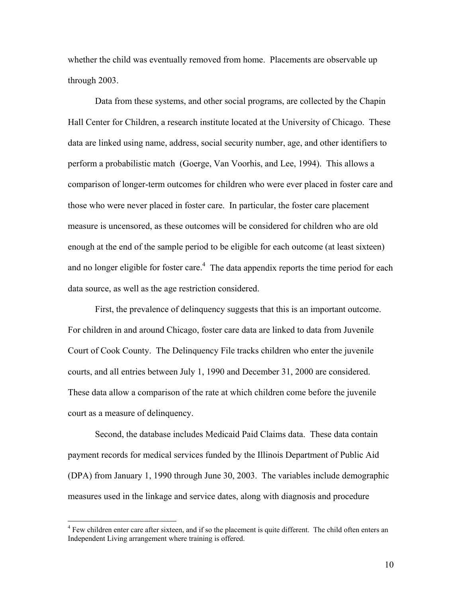whether the child was eventually removed from home. Placements are observable up through 2003.

Data from these systems, and other social programs, are collected by the Chapin Hall Center for Children, a research institute located at the University of Chicago. These data are linked using name, address, social security number, age, and other identifiers to perform a probabilistic match (Goerge, Van Voorhis, and Lee, 1994). This allows a comparison of longer-term outcomes for children who were ever placed in foster care and those who were never placed in foster care. In particular, the foster care placement measure is uncensored, as these outcomes will be considered for children who are old enough at the end of the sample period to be eligible for each outcome (at least sixteen) and no longer eligible for foster care.<sup>4</sup> The data appendix reports the time period for each data source, as well as the age restriction considered.

First, the prevalence of delinquency suggests that this is an important outcome. For children in and around Chicago, foster care data are linked to data from Juvenile Court of Cook County. The Delinquency File tracks children who enter the juvenile courts, and all entries between July 1, 1990 and December 31, 2000 are considered. These data allow a comparison of the rate at which children come before the juvenile court as a measure of delinquency.

Second, the database includes Medicaid Paid Claims data. These data contain payment records for medical services funded by the Illinois Department of Public Aid (DPA) from January 1, 1990 through June 30, 2003. The variables include demographic measures used in the linkage and service dates, along with diagnosis and procedure

 $\overline{a}$ 

<sup>&</sup>lt;sup>4</sup> Few children enter care after sixteen, and if so the placement is quite different. The child often enters an Independent Living arrangement where training is offered.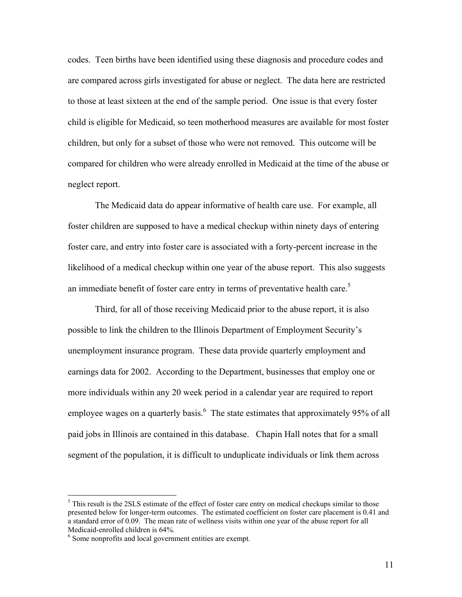codes. Teen births have been identified using these diagnosis and procedure codes and are compared across girls investigated for abuse or neglect. The data here are restricted to those at least sixteen at the end of the sample period. One issue is that every foster child is eligible for Medicaid, so teen motherhood measures are available for most foster children, but only for a subset of those who were not removed. This outcome will be compared for children who were already enrolled in Medicaid at the time of the abuse or neglect report.

The Medicaid data do appear informative of health care use. For example, all foster children are supposed to have a medical checkup within ninety days of entering foster care, and entry into foster care is associated with a forty-percent increase in the likelihood of a medical checkup within one year of the abuse report. This also suggests an immediate benefit of foster care entry in terms of preventative health care.<sup>5</sup>

Third, for all of those receiving Medicaid prior to the abuse report, it is also possible to link the children to the Illinois Department of Employment Security's unemployment insurance program. These data provide quarterly employment and earnings data for 2002. According to the Department, businesses that employ one or more individuals within any 20 week period in a calendar year are required to report employee wages on a quarterly basis.<sup>6</sup> The state estimates that approximately 95% of all paid jobs in Illinois are contained in this database. Chapin Hall notes that for a small segment of the population, it is difficult to unduplicate individuals or link them across

 $\overline{a}$ 

 $<sup>5</sup>$  This result is the 2SLS estimate of the effect of foster care entry on medical checkups similar to those</sup> presented below for longer-term outcomes. The estimated coefficient on foster care placement is 0.41 and a standard error of 0.09. The mean rate of wellness visits within one year of the abuse report for all Medicaid-enrolled children is 64%.

<sup>&</sup>lt;sup>6</sup> Some nonprofits and local government entities are exempt.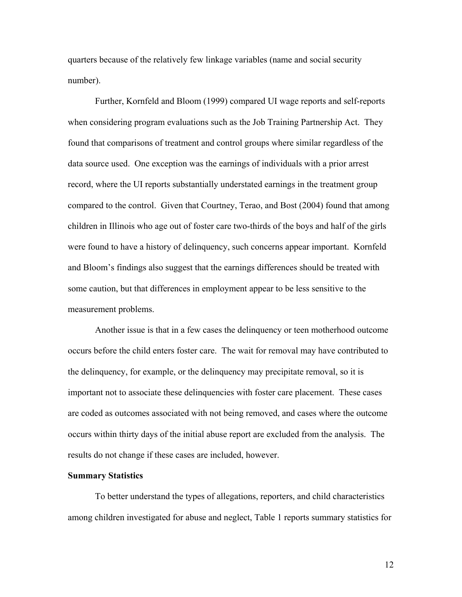quarters because of the relatively few linkage variables (name and social security number).

Further, Kornfeld and Bloom (1999) compared UI wage reports and self-reports when considering program evaluations such as the Job Training Partnership Act. They found that comparisons of treatment and control groups where similar regardless of the data source used. One exception was the earnings of individuals with a prior arrest record, where the UI reports substantially understated earnings in the treatment group compared to the control. Given that Courtney, Terao, and Bost (2004) found that among children in Illinois who age out of foster care two-thirds of the boys and half of the girls were found to have a history of delinquency, such concerns appear important. Kornfeld and Bloom's findings also suggest that the earnings differences should be treated with some caution, but that differences in employment appear to be less sensitive to the measurement problems.

Another issue is that in a few cases the delinquency or teen motherhood outcome occurs before the child enters foster care. The wait for removal may have contributed to the delinquency, for example, or the delinquency may precipitate removal, so it is important not to associate these delinquencies with foster care placement. These cases are coded as outcomes associated with not being removed, and cases where the outcome occurs within thirty days of the initial abuse report are excluded from the analysis. The results do not change if these cases are included, however.

#### **Summary Statistics**

To better understand the types of allegations, reporters, and child characteristics among children investigated for abuse and neglect, Table 1 reports summary statistics for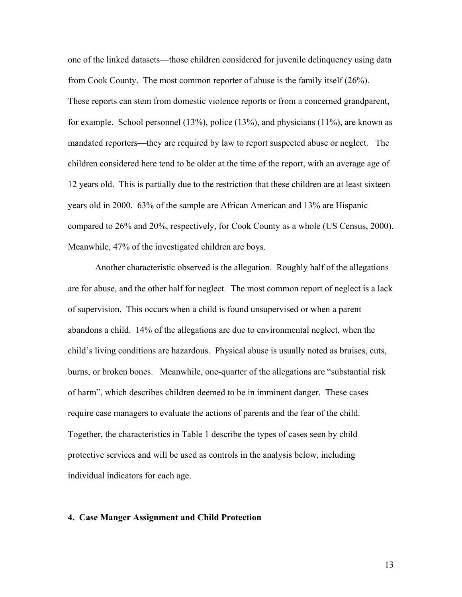one of the linked datasets—those children considered for juvenile delinquency using data from Cook County. The most common reporter of abuse is the family itself (26%). These reports can stem from domestic violence reports or from a concerned grandparent, for example. School personnel (13%), police (13%), and physicians (11%), are known as mandated reporters—they are required by law to report suspected abuse or neglect. The children considered here tend to be older at the time of the report, with an average age of 12 years old. This is partially due to the restriction that these children are at least sixteen years old in 2000. 63% of the sample are African American and 13% are Hispanic compared to 26% and 20%, respectively, for Cook County as a whole (US Census, 2000). Meanwhile, 47% of the investigated children are boys.

Another characteristic observed is the allegation. Roughly half of the allegations are for abuse, and the other half for neglect. The most common report of neglect is a lack of supervision. This occurs when a child is found unsupervised or when a parent abandons a child. 14% of the allegations are due to environmental neglect, when the child's living conditions are hazardous. Physical abuse is usually noted as bruises, cuts, burns, or broken bones. Meanwhile, one-quarter of the allegations are "substantial risk of harm", which describes children deemed to be in imminent danger. These cases require case managers to evaluate the actions of parents and the fear of the child. Together, the characteristics in Table 1 describe the types of cases seen by child protective services and will be used as controls in the analysis below, including individual indicators for each age.

#### **4. Case Manger Assignment and Child Protection**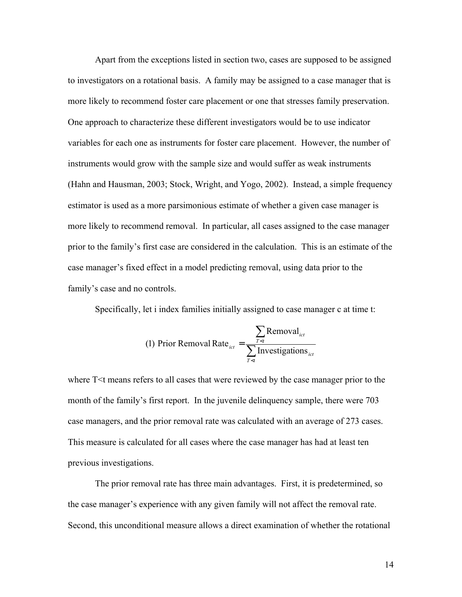Apart from the exceptions listed in section two, cases are supposed to be assigned to investigators on a rotational basis. A family may be assigned to a case manager that is more likely to recommend foster care placement or one that stresses family preservation. One approach to characterize these different investigators would be to use indicator variables for each one as instruments for foster care placement. However, the number of instruments would grow with the sample size and would suffer as weak instruments (Hahn and Hausman, 2003; Stock, Wright, and Yogo, 2002). Instead, a simple frequency estimator is used as a more parsimonious estimate of whether a given case manager is more likely to recommend removal. In particular, all cases assigned to the case manager prior to the family's first case are considered in the calculation. This is an estimate of the case manager's fixed effect in a model predicting removal, using data prior to the family's case and no controls.

Specifically, let i index families initially assigned to case manager c at time t:

(1) Prior Removal Rate<sub>ict</sub> = 
$$
\frac{\sum_{T \le t} \text{Removal}_{ict}}{\sum_{T \le t} \text{Investigations}_{ict}}
$$

where T<t means refers to all cases that were reviewed by the case manager prior to the month of the family's first report. In the juvenile delinquency sample, there were 703 case managers, and the prior removal rate was calculated with an average of 273 cases. This measure is calculated for all cases where the case manager has had at least ten previous investigations.

The prior removal rate has three main advantages. First, it is predetermined, so the case manager's experience with any given family will not affect the removal rate. Second, this unconditional measure allows a direct examination of whether the rotational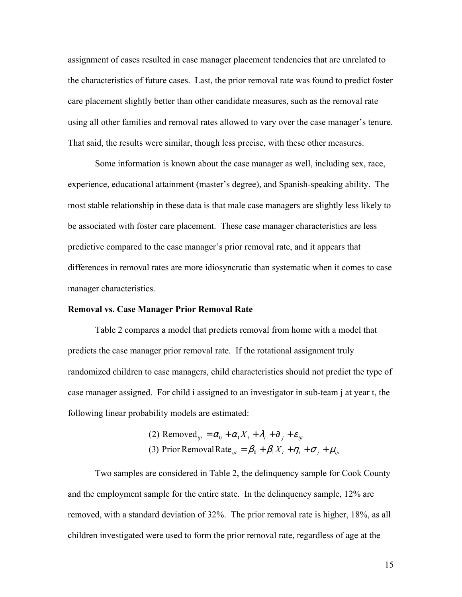assignment of cases resulted in case manager placement tendencies that are unrelated to the characteristics of future cases. Last, the prior removal rate was found to predict foster care placement slightly better than other candidate measures, such as the removal rate using all other families and removal rates allowed to vary over the case manager's tenure. That said, the results were similar, though less precise, with these other measures.

Some information is known about the case manager as well, including sex, race, experience, educational attainment (master's degree), and Spanish-speaking ability. The most stable relationship in these data is that male case managers are slightly less likely to be associated with foster care placement. These case manager characteristics are less predictive compared to the case manager's prior removal rate, and it appears that differences in removal rates are more idiosyncratic than systematic when it comes to case manager characteristics.

#### **Removal vs. Case Manager Prior Removal Rate**

Table 2 compares a model that predicts removal from home with a model that predicts the case manager prior removal rate. If the rotational assignment truly randomized children to case managers, child characteristics should not predict the type of case manager assigned. For child i assigned to an investigator in sub-team j at year t, the following linear probability models are estimated:

> (3) Prior Removal Rate  $\iint_{i} = \beta_0 + \beta_1 X_t + \eta_t + \sigma_j + \mu_{ij}$ (2) Removed<sub>ijt</sub> =  $\alpha_0 + \alpha_1 X_i + \lambda_1 + \partial_j + \varepsilon_{ij}$

Two samples are considered in Table 2, the delinquency sample for Cook County and the employment sample for the entire state. In the delinquency sample, 12% are removed, with a standard deviation of 32%. The prior removal rate is higher, 18%, as all children investigated were used to form the prior removal rate, regardless of age at the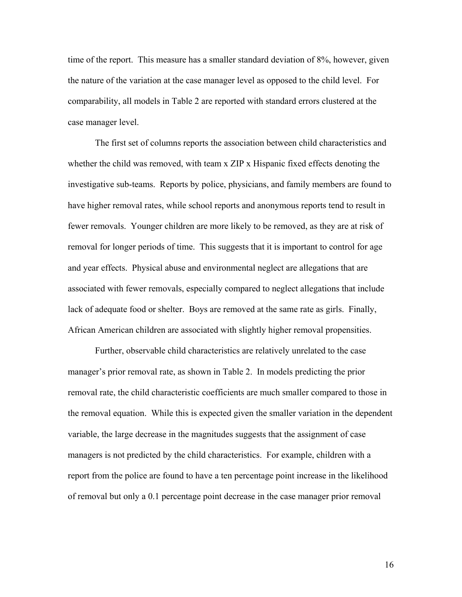time of the report. This measure has a smaller standard deviation of 8%, however, given the nature of the variation at the case manager level as opposed to the child level. For comparability, all models in Table 2 are reported with standard errors clustered at the case manager level.

The first set of columns reports the association between child characteristics and whether the child was removed, with team x ZIP x Hispanic fixed effects denoting the investigative sub-teams. Reports by police, physicians, and family members are found to have higher removal rates, while school reports and anonymous reports tend to result in fewer removals. Younger children are more likely to be removed, as they are at risk of removal for longer periods of time. This suggests that it is important to control for age and year effects. Physical abuse and environmental neglect are allegations that are associated with fewer removals, especially compared to neglect allegations that include lack of adequate food or shelter. Boys are removed at the same rate as girls. Finally, African American children are associated with slightly higher removal propensities.

Further, observable child characteristics are relatively unrelated to the case manager's prior removal rate, as shown in Table 2. In models predicting the prior removal rate, the child characteristic coefficients are much smaller compared to those in the removal equation. While this is expected given the smaller variation in the dependent variable, the large decrease in the magnitudes suggests that the assignment of case managers is not predicted by the child characteristics. For example, children with a report from the police are found to have a ten percentage point increase in the likelihood of removal but only a 0.1 percentage point decrease in the case manager prior removal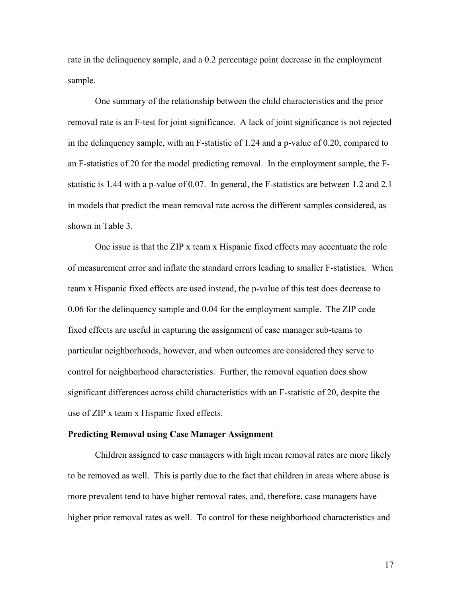rate in the delinquency sample, and a 0.2 percentage point decrease in the employment sample.

One summary of the relationship between the child characteristics and the prior removal rate is an F-test for joint significance. A lack of joint significance is not rejected in the delinquency sample, with an F-statistic of 1.24 and a p-value of 0.20, compared to an F-statistics of 20 for the model predicting removal. In the employment sample, the Fstatistic is 1.44 with a p-value of 0.07. In general, the F-statistics are between 1.2 and 2.1 in models that predict the mean removal rate across the different samples considered, as shown in Table 3.

One issue is that the ZIP x team x Hispanic fixed effects may accentuate the role of measurement error and inflate the standard errors leading to smaller F-statistics. When team x Hispanic fixed effects are used instead, the p-value of this test does decrease to 0.06 for the delinquency sample and 0.04 for the employment sample. The ZIP code fixed effects are useful in capturing the assignment of case manager sub-teams to particular neighborhoods, however, and when outcomes are considered they serve to control for neighborhood characteristics. Further, the removal equation does show significant differences across child characteristics with an F-statistic of 20, despite the use of ZIP x team x Hispanic fixed effects.

#### **Predicting Removal using Case Manager Assignment**

Children assigned to case managers with high mean removal rates are more likely to be removed as well. This is partly due to the fact that children in areas where abuse is more prevalent tend to have higher removal rates, and, therefore, case managers have higher prior removal rates as well. To control for these neighborhood characteristics and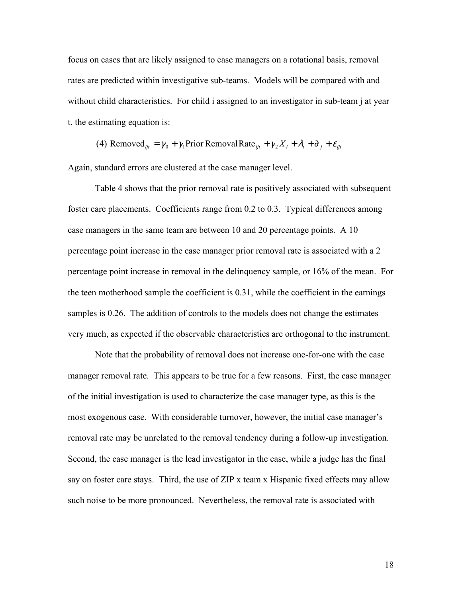focus on cases that are likely assigned to case managers on a rotational basis, removal rates are predicted within investigative sub-teams. Models will be compared with and without child characteristics. For child i assigned to an investigator in sub-team j at year t, the estimating equation is:

(4) Removed<sub>ijt</sub> = 
$$
\gamma_0 + \gamma_1
$$
Prior Removal Rate<sub>ijt</sub> +  $\gamma_2 X_i + \lambda_t + \partial_j + \varepsilon_{ijt}$ 

Again, standard errors are clustered at the case manager level.

 Table 4 shows that the prior removal rate is positively associated with subsequent foster care placements. Coefficients range from 0.2 to 0.3. Typical differences among case managers in the same team are between 10 and 20 percentage points. A 10 percentage point increase in the case manager prior removal rate is associated with a 2 percentage point increase in removal in the delinquency sample, or 16% of the mean. For the teen motherhood sample the coefficient is 0.31, while the coefficient in the earnings samples is 0.26. The addition of controls to the models does not change the estimates very much, as expected if the observable characteristics are orthogonal to the instrument.

Note that the probability of removal does not increase one-for-one with the case manager removal rate. This appears to be true for a few reasons. First, the case manager of the initial investigation is used to characterize the case manager type, as this is the most exogenous case. With considerable turnover, however, the initial case manager's removal rate may be unrelated to the removal tendency during a follow-up investigation. Second, the case manager is the lead investigator in the case, while a judge has the final say on foster care stays. Third, the use of ZIP x team x Hispanic fixed effects may allow such noise to be more pronounced. Nevertheless, the removal rate is associated with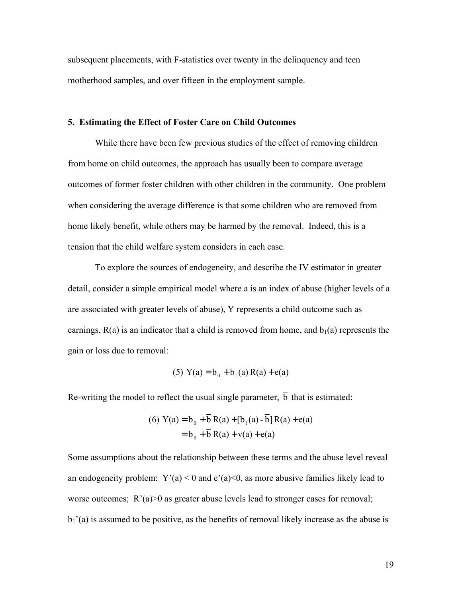subsequent placements, with F-statistics over twenty in the delinquency and teen motherhood samples, and over fifteen in the employment sample.

#### **5. Estimating the Effect of Foster Care on Child Outcomes**

 While there have been few previous studies of the effect of removing children from home on child outcomes, the approach has usually been to compare average outcomes of former foster children with other children in the community. One problem when considering the average difference is that some children who are removed from home likely benefit, while others may be harmed by the removal. Indeed, this is a tension that the child welfare system considers in each case.

To explore the sources of endogeneity, and describe the IV estimator in greater detail, consider a simple empirical model where a is an index of abuse (higher levels of a are associated with greater levels of abuse), Y represents a child outcome such as earnings,  $R(a)$  is an indicator that a child is removed from home, and  $b<sub>1</sub>(a)$  represents the gain or loss due to removal:

(5) 
$$
Y(a) = b_0 + b_1(a) R(a) + e(a)
$$

Re-writing the model to reflect the usual single parameter,  $\overline{b}$  that is estimated:

(6) 
$$
Y(a) = b_0 + b R(a) + [b_1(a) - b] R(a) + e(a)
$$
  
=  $b_0 + \overline{b} R(a) + v(a) + e(a)$ 

Some assumptions about the relationship between these terms and the abuse level reveal an endogeneity problem:  $Y'(a) < 0$  and  $e'(a) < 0$ , as more abusive families likely lead to worse outcomes;  $R'(a) > 0$  as greater abuse levels lead to stronger cases for removal;  $b_1$ '(a) is assumed to be positive, as the benefits of removal likely increase as the abuse is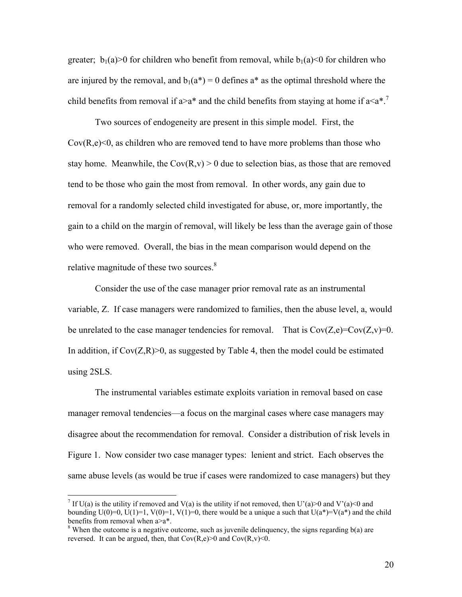greater;  $b_1(a) > 0$  for children who benefit from removal, while  $b_1(a) < 0$  for children who are injured by the removal, and  $b_1(a^*) = 0$  defines  $a^*$  as the optimal threshold where the child benefits from removal if  $a > a^*$  and the child benefits from staying at home if  $a \le a^*$ .<sup>7</sup>

Two sources of endogeneity are present in this simple model. First, the  $Cov(R,e) \leq 0$ , as children who are removed tend to have more problems than those who stay home. Meanwhile, the  $Cov(R, v) > 0$  due to selection bias, as those that are removed tend to be those who gain the most from removal. In other words, any gain due to removal for a randomly selected child investigated for abuse, or, more importantly, the gain to a child on the margin of removal, will likely be less than the average gain of those who were removed. Overall, the bias in the mean comparison would depend on the relative magnitude of these two sources.<sup>8</sup>

Consider the use of the case manager prior removal rate as an instrumental variable, Z. If case managers were randomized to families, then the abuse level, a, would be unrelated to the case manager tendencies for removal. That is  $Cov(Z,e)=Cov(Z,v)=0$ . In addition, if  $Cov(Z,R) > 0$ , as suggested by Table 4, then the model could be estimated using 2SLS.

The instrumental variables estimate exploits variation in removal based on case manager removal tendencies—a focus on the marginal cases where case managers may disagree about the recommendation for removal. Consider a distribution of risk levels in Figure 1. Now consider two case manager types: lenient and strict. Each observes the same abuse levels (as would be true if cases were randomized to case managers) but they

 $\overline{a}$ 

<sup>&</sup>lt;sup>7</sup> If U(a) is the utility if removed and V(a) is the utility if not removed, then U'(a) > 0 and V'(a) < 0 and bounding  $U(0)=0$ ,  $U(1)=1$ ,  $V(0)=1$ ,  $V(1)=0$ , there would be a unique a such that  $U(a^*)=V(a^*)$  and the child benefits from removal when a>a\*.

<sup>&</sup>lt;sup>8</sup> When the outcome is a negative outcome, such as juvenile delinquency, the signs regarding  $b(a)$  are reversed. It can be argued, then, that  $Cov(R,e) > 0$  and  $Cov(R,v) < 0$ .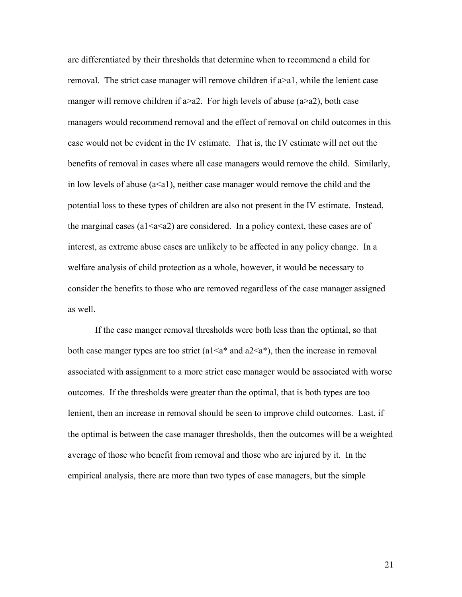are differentiated by their thresholds that determine when to recommend a child for removal. The strict case manager will remove children if a>a1, while the lenient case manger will remove children if  $a > a2$ . For high levels of abuse  $(a > a2)$ , both case managers would recommend removal and the effect of removal on child outcomes in this case would not be evident in the IV estimate. That is, the IV estimate will net out the benefits of removal in cases where all case managers would remove the child. Similarly, in low levels of abuse  $(a \le a1)$ , neither case manager would remove the child and the potential loss to these types of children are also not present in the IV estimate. Instead, the marginal cases (a1 $\leq$ a $\leq$ a2) are considered. In a policy context, these cases are of interest, as extreme abuse cases are unlikely to be affected in any policy change. In a welfare analysis of child protection as a whole, however, it would be necessary to consider the benefits to those who are removed regardless of the case manager assigned as well.

If the case manger removal thresholds were both less than the optimal, so that both case manger types are too strict (a1 $\leq a^*$  and a2 $\leq a^*$ ), then the increase in removal associated with assignment to a more strict case manager would be associated with worse outcomes. If the thresholds were greater than the optimal, that is both types are too lenient, then an increase in removal should be seen to improve child outcomes. Last, if the optimal is between the case manager thresholds, then the outcomes will be a weighted average of those who benefit from removal and those who are injured by it. In the empirical analysis, there are more than two types of case managers, but the simple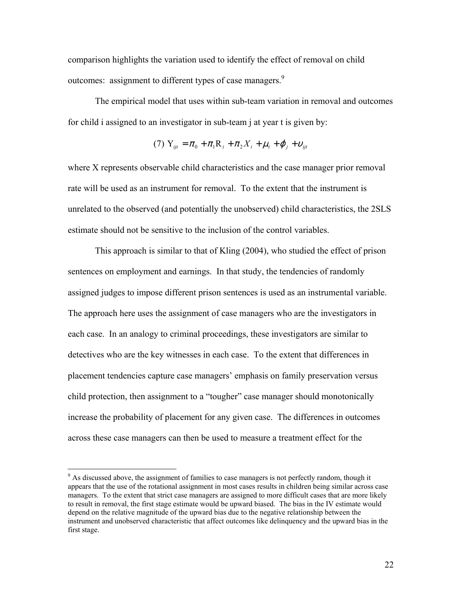comparison highlights the variation used to identify the effect of removal on child outcomes: assignment to different types of case managers.<sup>9</sup>

The empirical model that uses within sub-team variation in removal and outcomes for child i assigned to an investigator in sub-team j at year t is given by:

(7) 
$$
Y_{ijt} = \pi_0 + \pi_1 R_i + \pi_2 X_i + \mu_t + \varphi_j + \upsilon_{ijt}
$$

where X represents observable child characteristics and the case manager prior removal rate will be used as an instrument for removal. To the extent that the instrument is unrelated to the observed (and potentially the unobserved) child characteristics, the 2SLS estimate should not be sensitive to the inclusion of the control variables.

This approach is similar to that of Kling (2004), who studied the effect of prison sentences on employment and earnings. In that study, the tendencies of randomly assigned judges to impose different prison sentences is used as an instrumental variable. The approach here uses the assignment of case managers who are the investigators in each case. In an analogy to criminal proceedings, these investigators are similar to detectives who are the key witnesses in each case. To the extent that differences in placement tendencies capture case managers' emphasis on family preservation versus child protection, then assignment to a "tougher" case manager should monotonically increase the probability of placement for any given case. The differences in outcomes across these case managers can then be used to measure a treatment effect for the

<sup>&</sup>lt;sup>9</sup> As discussed above, the assignment of families to case managers is not perfectly random, though it appears that the use of the rotational assignment in most cases results in children being similar across case managers. To the extent that strict case managers are assigned to more difficult cases that are more likely to result in removal, the first stage estimate would be upward biased. The bias in the IV estimate would depend on the relative magnitude of the upward bias due to the negative relationship between the instrument and unobserved characteristic that affect outcomes like delinquency and the upward bias in the first stage.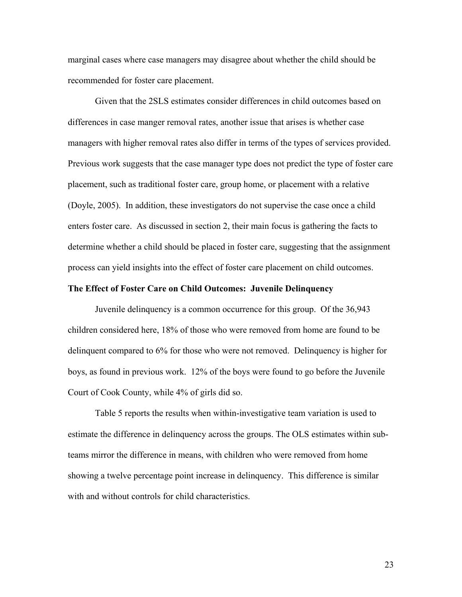marginal cases where case managers may disagree about whether the child should be recommended for foster care placement.

 Given that the 2SLS estimates consider differences in child outcomes based on differences in case manger removal rates, another issue that arises is whether case managers with higher removal rates also differ in terms of the types of services provided. Previous work suggests that the case manager type does not predict the type of foster care placement, such as traditional foster care, group home, or placement with a relative (Doyle, 2005). In addition, these investigators do not supervise the case once a child enters foster care. As discussed in section 2, their main focus is gathering the facts to determine whether a child should be placed in foster care, suggesting that the assignment process can yield insights into the effect of foster care placement on child outcomes.

#### **The Effect of Foster Care on Child Outcomes: Juvenile Delinquency**

Juvenile delinquency is a common occurrence for this group. Of the 36,943 children considered here, 18% of those who were removed from home are found to be delinquent compared to 6% for those who were not removed. Delinquency is higher for boys, as found in previous work. 12% of the boys were found to go before the Juvenile Court of Cook County, while 4% of girls did so.

Table 5 reports the results when within-investigative team variation is used to estimate the difference in delinquency across the groups. The OLS estimates within subteams mirror the difference in means, with children who were removed from home showing a twelve percentage point increase in delinquency. This difference is similar with and without controls for child characteristics.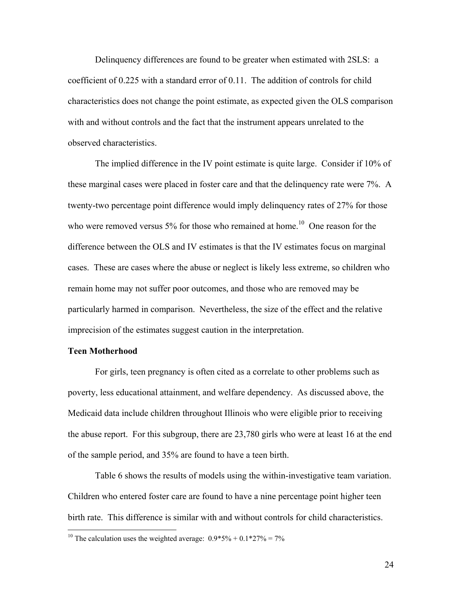Delinquency differences are found to be greater when estimated with 2SLS: a coefficient of 0.225 with a standard error of 0.11. The addition of controls for child characteristics does not change the point estimate, as expected given the OLS comparison with and without controls and the fact that the instrument appears unrelated to the observed characteristics.

The implied difference in the IV point estimate is quite large. Consider if 10% of these marginal cases were placed in foster care and that the delinquency rate were 7%. A twenty-two percentage point difference would imply delinquency rates of 27% for those who were removed versus  $5\%$  for those who remained at home.<sup>10</sup> One reason for the difference between the OLS and IV estimates is that the IV estimates focus on marginal cases. These are cases where the abuse or neglect is likely less extreme, so children who remain home may not suffer poor outcomes, and those who are removed may be particularly harmed in comparison. Nevertheless, the size of the effect and the relative imprecision of the estimates suggest caution in the interpretation.

#### **Teen Motherhood**

<u>.</u>

 For girls, teen pregnancy is often cited as a correlate to other problems such as poverty, less educational attainment, and welfare dependency. As discussed above, the Medicaid data include children throughout Illinois who were eligible prior to receiving the abuse report. For this subgroup, there are 23,780 girls who were at least 16 at the end of the sample period, and 35% are found to have a teen birth.

 Table 6 shows the results of models using the within-investigative team variation. Children who entered foster care are found to have a nine percentage point higher teen birth rate. This difference is similar with and without controls for child characteristics.

<sup>&</sup>lt;sup>10</sup> The calculation uses the weighted average:  $0.9*5\% + 0.1*27\% = 7\%$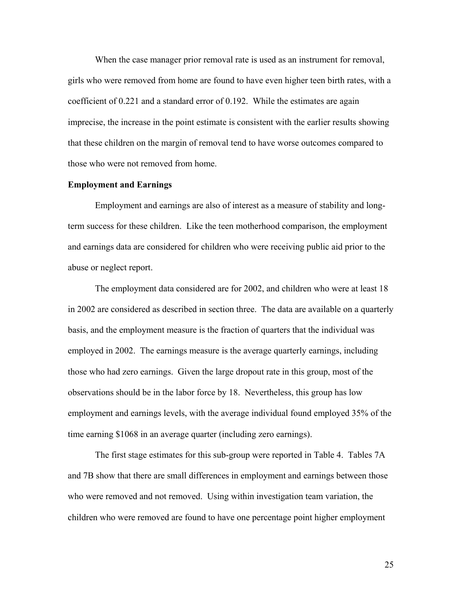When the case manager prior removal rate is used as an instrument for removal, girls who were removed from home are found to have even higher teen birth rates, with a coefficient of 0.221 and a standard error of 0.192. While the estimates are again imprecise, the increase in the point estimate is consistent with the earlier results showing that these children on the margin of removal tend to have worse outcomes compared to those who were not removed from home.

#### **Employment and Earnings**

 Employment and earnings are also of interest as a measure of stability and longterm success for these children. Like the teen motherhood comparison, the employment and earnings data are considered for children who were receiving public aid prior to the abuse or neglect report.

The employment data considered are for 2002, and children who were at least 18 in 2002 are considered as described in section three. The data are available on a quarterly basis, and the employment measure is the fraction of quarters that the individual was employed in 2002. The earnings measure is the average quarterly earnings, including those who had zero earnings. Given the large dropout rate in this group, most of the observations should be in the labor force by 18. Nevertheless, this group has low employment and earnings levels, with the average individual found employed 35% of the time earning \$1068 in an average quarter (including zero earnings).

 The first stage estimates for this sub-group were reported in Table 4. Tables 7A and 7B show that there are small differences in employment and earnings between those who were removed and not removed. Using within investigation team variation, the children who were removed are found to have one percentage point higher employment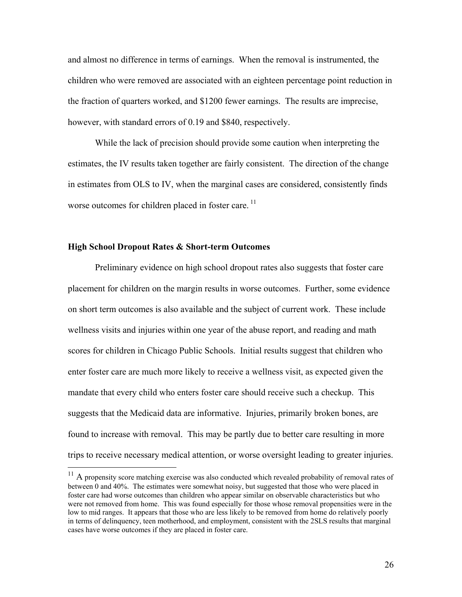and almost no difference in terms of earnings. When the removal is instrumented, the children who were removed are associated with an eighteen percentage point reduction in the fraction of quarters worked, and \$1200 fewer earnings. The results are imprecise, however, with standard errors of 0.19 and \$840, respectively.

 While the lack of precision should provide some caution when interpreting the estimates, the IV results taken together are fairly consistent. The direction of the change in estimates from OLS to IV, when the marginal cases are considered, consistently finds worse outcomes for children placed in foster care.<sup>11</sup>

#### **High School Dropout Rates & Short-term Outcomes**

 $\overline{a}$ 

 Preliminary evidence on high school dropout rates also suggests that foster care placement for children on the margin results in worse outcomes. Further, some evidence on short term outcomes is also available and the subject of current work. These include wellness visits and injuries within one year of the abuse report, and reading and math scores for children in Chicago Public Schools. Initial results suggest that children who enter foster care are much more likely to receive a wellness visit, as expected given the mandate that every child who enters foster care should receive such a checkup. This suggests that the Medicaid data are informative. Injuries, primarily broken bones, are found to increase with removal. This may be partly due to better care resulting in more trips to receive necessary medical attention, or worse oversight leading to greater injuries.

 $11$  A propensity score matching exercise was also conducted which revealed probability of removal rates of between 0 and 40%. The estimates were somewhat noisy, but suggested that those who were placed in foster care had worse outcomes than children who appear similar on observable characteristics but who were not removed from home. This was found especially for those whose removal propensities were in the low to mid ranges. It appears that those who are less likely to be removed from home do relatively poorly in terms of delinquency, teen motherhood, and employment, consistent with the 2SLS results that marginal cases have worse outcomes if they are placed in foster care.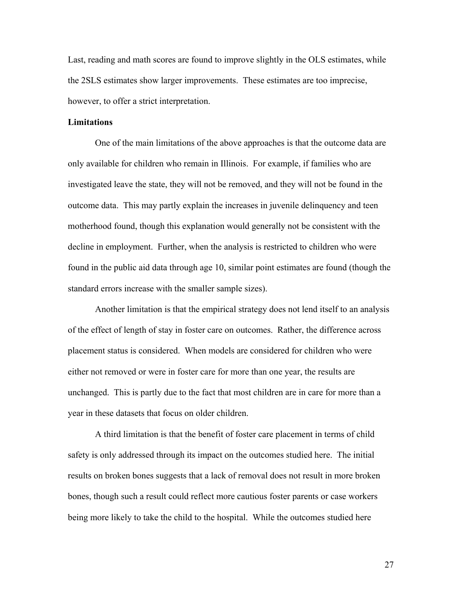Last, reading and math scores are found to improve slightly in the OLS estimates, while the 2SLS estimates show larger improvements. These estimates are too imprecise, however, to offer a strict interpretation.

#### **Limitations**

 One of the main limitations of the above approaches is that the outcome data are only available for children who remain in Illinois. For example, if families who are investigated leave the state, they will not be removed, and they will not be found in the outcome data. This may partly explain the increases in juvenile delinquency and teen motherhood found, though this explanation would generally not be consistent with the decline in employment. Further, when the analysis is restricted to children who were found in the public aid data through age 10, similar point estimates are found (though the standard errors increase with the smaller sample sizes).

 Another limitation is that the empirical strategy does not lend itself to an analysis of the effect of length of stay in foster care on outcomes. Rather, the difference across placement status is considered. When models are considered for children who were either not removed or were in foster care for more than one year, the results are unchanged. This is partly due to the fact that most children are in care for more than a year in these datasets that focus on older children.

 A third limitation is that the benefit of foster care placement in terms of child safety is only addressed through its impact on the outcomes studied here. The initial results on broken bones suggests that a lack of removal does not result in more broken bones, though such a result could reflect more cautious foster parents or case workers being more likely to take the child to the hospital. While the outcomes studied here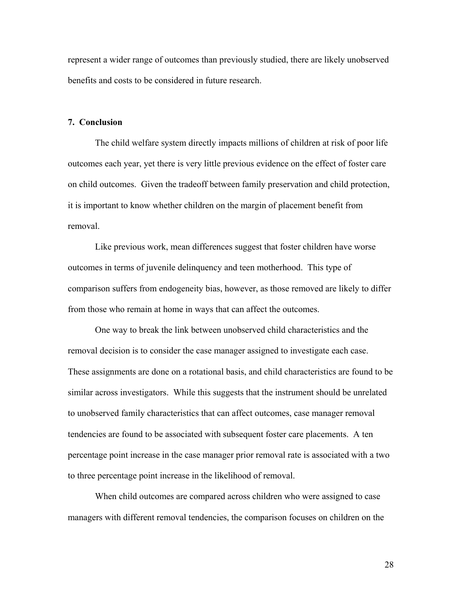represent a wider range of outcomes than previously studied, there are likely unobserved benefits and costs to be considered in future research.

#### **7. Conclusion**

The child welfare system directly impacts millions of children at risk of poor life outcomes each year, yet there is very little previous evidence on the effect of foster care on child outcomes. Given the tradeoff between family preservation and child protection, it is important to know whether children on the margin of placement benefit from removal.

Like previous work, mean differences suggest that foster children have worse outcomes in terms of juvenile delinquency and teen motherhood. This type of comparison suffers from endogeneity bias, however, as those removed are likely to differ from those who remain at home in ways that can affect the outcomes.

One way to break the link between unobserved child characteristics and the removal decision is to consider the case manager assigned to investigate each case. These assignments are done on a rotational basis, and child characteristics are found to be similar across investigators. While this suggests that the instrument should be unrelated to unobserved family characteristics that can affect outcomes, case manager removal tendencies are found to be associated with subsequent foster care placements. A ten percentage point increase in the case manager prior removal rate is associated with a two to three percentage point increase in the likelihood of removal.

When child outcomes are compared across children who were assigned to case managers with different removal tendencies, the comparison focuses on children on the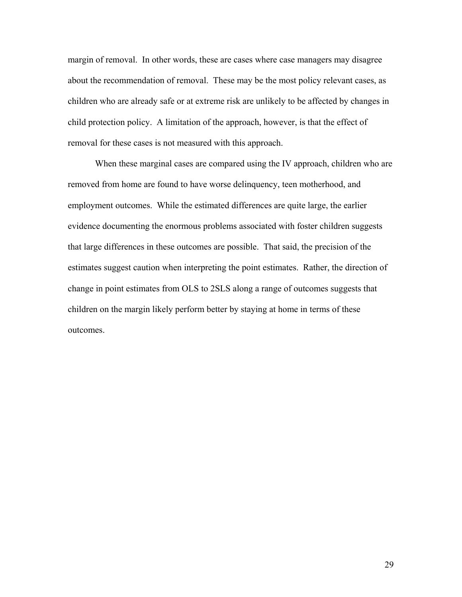margin of removal. In other words, these are cases where case managers may disagree about the recommendation of removal. These may be the most policy relevant cases, as children who are already safe or at extreme risk are unlikely to be affected by changes in child protection policy. A limitation of the approach, however, is that the effect of removal for these cases is not measured with this approach.

When these marginal cases are compared using the IV approach, children who are removed from home are found to have worse delinquency, teen motherhood, and employment outcomes. While the estimated differences are quite large, the earlier evidence documenting the enormous problems associated with foster children suggests that large differences in these outcomes are possible. That said, the precision of the estimates suggest caution when interpreting the point estimates. Rather, the direction of change in point estimates from OLS to 2SLS along a range of outcomes suggests that children on the margin likely perform better by staying at home in terms of these outcomes.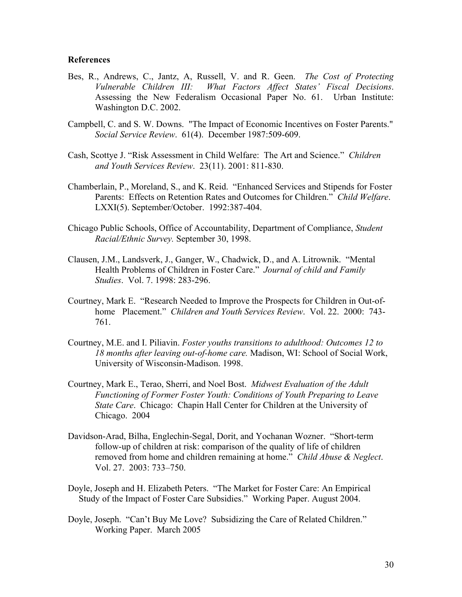#### **References**

- Bes, R., Andrews, C., Jantz, A, Russell, V. and R. Geen. *The Cost of Protecting Vulnerable Children III: What Factors Affect States' Fiscal Decisions*. Assessing the New Federalism Occasional Paper No. 61. Urban Institute: Washington D.C. 2002.
- Campbell, C. and S. W. Downs. "The Impact of Economic Incentives on Foster Parents." *Social Service Review*. 61(4). December 1987:509-609.
- Cash, Scottye J. "Risk Assessment in Child Welfare: The Art and Science." *Children and Youth Services Review*. 23(11). 2001: 811-830.
- Chamberlain, P., Moreland, S., and K. Reid. "Enhanced Services and Stipends for Foster Parents: Effects on Retention Rates and Outcomes for Children." *Child Welfare*. LXXI(5). September/October. 1992:387-404.
- Chicago Public Schools, Office of Accountability, Department of Compliance, *Student Racial/Ethnic Survey.* September 30, 1998.
- Clausen, J.M., Landsverk, J., Ganger, W., Chadwick, D., and A. Litrownik. "Mental Health Problems of Children in Foster Care." *Journal of child and Family Studies*. Vol. 7. 1998: 283-296.
- Courtney, Mark E. "Research Needed to Improve the Prospects for Children in Out-of home Placement." *Children and Youth Services Review*. Vol. 22. 2000: 743- 761.
- Courtney, M.E. and I. Piliavin. *Foster youths transitions to adulthood: Outcomes 12 to 18 months after leaving out-of-home care.* Madison, WI: School of Social Work, University of Wisconsin-Madison. 1998.
- Courtney, Mark E., Terao, Sherri, and Noel Bost. *Midwest Evaluation of the Adult Functioning of Former Foster Youth: Conditions of Youth Preparing to Leave State Care*. Chicago: Chapin Hall Center for Children at the University of Chicago. 2004
- Davidson-Arad, Bilha, Englechin-Segal, Dorit, and Yochanan Wozner. "Short-term follow-up of children at risk: comparison of the quality of life of children removed from home and children remaining at home." *Child Abuse & Neglect*. Vol. 27. 2003: 733–750.
- Doyle, Joseph and H. Elizabeth Peters. "The Market for Foster Care: An Empirical Study of the Impact of Foster Care Subsidies." Working Paper. August 2004.
- Doyle, Joseph. "Can't Buy Me Love? Subsidizing the Care of Related Children." Working Paper. March 2005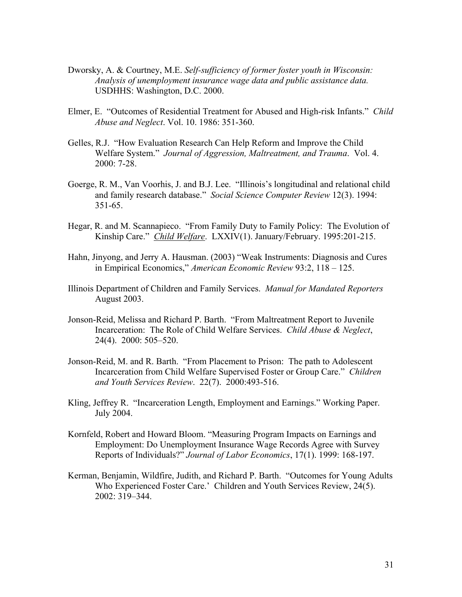- Dworsky, A. & Courtney, M.E. *Self-sufficiency of former foster youth in Wisconsin: Analysis of unemployment insurance wage data and public assistance data.* USDHHS: Washington, D.C. 2000.
- Elmer, E. "Outcomes of Residential Treatment for Abused and High-risk Infants." *Child Abuse and Neglect*. Vol. 10. 1986: 351-360.
- Gelles, R.J. "How Evaluation Research Can Help Reform and Improve the Child Welfare System." *Journal of Aggression, Maltreatment, and Trauma*. Vol. 4. 2000: 7-28.
- Goerge, R. M., Van Voorhis, J. and B.J. Lee. "Illinois's longitudinal and relational child and family research database." *Social Science Computer Review* 12(3). 1994: 351-65.
- Hegar, R. and M. Scannapieco. "From Family Duty to Family Policy: The Evolution of Kinship Care." *Child Welfare*. LXXIV(1). January/February. 1995:201-215.
- Hahn, Jinyong, and Jerry A. Hausman. (2003) "Weak Instruments: Diagnosis and Cures in Empirical Economics," *American Economic Review* 93:2, 118 – 125.
- Illinois Department of Children and Family Services. *Manual for Mandated Reporters* August 2003.
- Jonson-Reid, Melissa and Richard P. Barth. "From Maltreatment Report to Juvenile Incarceration: The Role of Child Welfare Services. *Child Abuse & Neglect*, 24(4). 2000: 505–520.
- Jonson-Reid, M. and R. Barth. "From Placement to Prison: The path to Adolescent Incarceration from Child Welfare Supervised Foster or Group Care." *Children and Youth Services Review*. 22(7). 2000:493-516.
- Kling, Jeffrey R. "Incarceration Length, Employment and Earnings." Working Paper. July 2004.
- Kornfeld, Robert and Howard Bloom. "Measuring Program Impacts on Earnings and Employment: Do Unemployment Insurance Wage Records Agree with Survey Reports of Individuals?" *Journal of Labor Economics*, 17(1). 1999: 168-197.
- Kerman, Benjamin, Wildfire, Judith, and Richard P. Barth. "Outcomes for Young Adults Who Experienced Foster Care.' Children and Youth Services Review, 24(5). 2002: 319–344.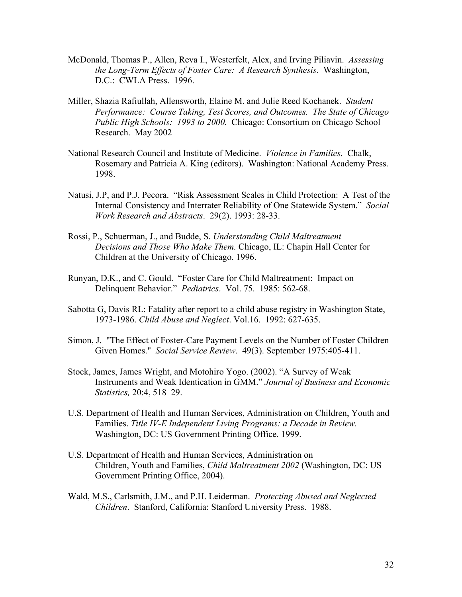- McDonald, Thomas P., Allen, Reva I., Westerfelt, Alex, and Irving Piliavin. *Assessing the Long-Term Effects of Foster Care: A Research Synthesis*. Washington, D.C.: CWLA Press. 1996.
- Miller, Shazia Rafiullah, Allensworth, Elaine M. and Julie Reed Kochanek. *Student Performance: Course Taking, Test Scores, and Outcomes. The State of Chicago Public High Schools: 1993 to 2000.* Chicago: Consortium on Chicago School Research. May 2002
- National Research Council and Institute of Medicine. *Violence in Families*. Chalk, Rosemary and Patricia A. King (editors). Washington: National Academy Press. 1998.
- Natusi, J.P, and P.J. Pecora. "Risk Assessment Scales in Child Protection: A Test of the Internal Consistency and Interrater Reliability of One Statewide System." *Social Work Research and Abstracts*. 29(2). 1993: 28-33.
- Rossi, P., Schuerman, J., and Budde, S. *Understanding Child Maltreatment Decisions and Those Who Make Them.* Chicago, IL: Chapin Hall Center for Children at the University of Chicago. 1996.
- Runyan, D.K., and C. Gould. "Foster Care for Child Maltreatment: Impact on Delinquent Behavior." *Pediatrics*. Vol. 75. 1985: 562-68.
- Sabotta G, Davis RL: Fatality after report to a child abuse registry in Washington State, 1973-1986. *Child Abuse and Neglect*. Vol.16. 1992: 627-635.
- Simon, J. "The Effect of Foster-Care Payment Levels on the Number of Foster Children Given Homes." *Social Service Review*. 49(3). September 1975:405-411.
- Stock, James, James Wright, and Motohiro Yogo. (2002). "A Survey of Weak Instruments and Weak Identication in GMM." *Journal of Business and Economic Statistics,* 20:4, 518–29.
- U.S. Department of Health and Human Services, Administration on Children, Youth and Families. *Title IV-E Independent Living Programs: a Decade in Review.*  Washington, DC: US Government Printing Office. 1999.
- U.S. Department of Health and Human Services, Administration on Children, Youth and Families, *Child Maltreatment 2002* (Washington, DC: US Government Printing Office, 2004).
- Wald, M.S., Carlsmith, J.M., and P.H. Leiderman. *Protecting Abused and Neglected Children*. Stanford, California: Stanford University Press. 1988.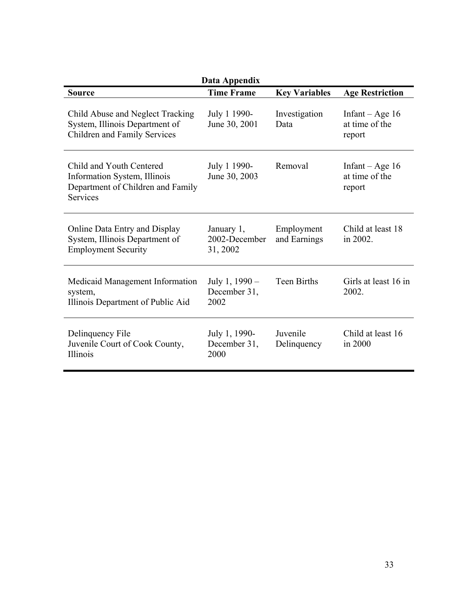| Data Appendix                                                                                                    |                                         |                            |                                               |  |  |  |
|------------------------------------------------------------------------------------------------------------------|-----------------------------------------|----------------------------|-----------------------------------------------|--|--|--|
| <b>Source</b>                                                                                                    | <b>Time Frame</b>                       | <b>Key Variables</b>       | <b>Age Restriction</b>                        |  |  |  |
| Child Abuse and Neglect Tracking<br>System, Illinois Department of<br>Children and Family Services               | July 1 1990-<br>June 30, 2001           | Investigation<br>Data      | Infant – Age $16$<br>at time of the<br>report |  |  |  |
| Child and Youth Centered<br>Information System, Illinois<br>Department of Children and Family<br><b>Services</b> | July 1 1990-<br>June 30, 2003           | Removal                    | Infant $-Age16$<br>at time of the<br>report   |  |  |  |
| Online Data Entry and Display<br>System, Illinois Department of<br><b>Employment Security</b>                    | January 1,<br>2002-December<br>31, 2002 | Employment<br>and Earnings | Child at least 18<br>in 2002.                 |  |  |  |
| Medicaid Management Information<br>system,<br>Illinois Department of Public Aid                                  | July 1, 1990 –<br>December 31,<br>2002  | <b>Teen Births</b>         | Girls at least 16 in<br>2002.                 |  |  |  |
| Delinquency File<br>Juvenile Court of Cook County,<br>Illinois                                                   | July 1, 1990-<br>December 31,<br>2000   | Juvenile<br>Delinquency    | Child at least 16<br>in 2000                  |  |  |  |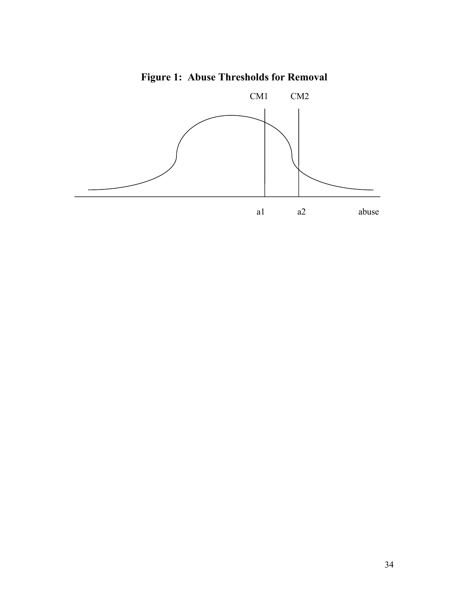# **Figure 1: Abuse Thresholds for Removal**

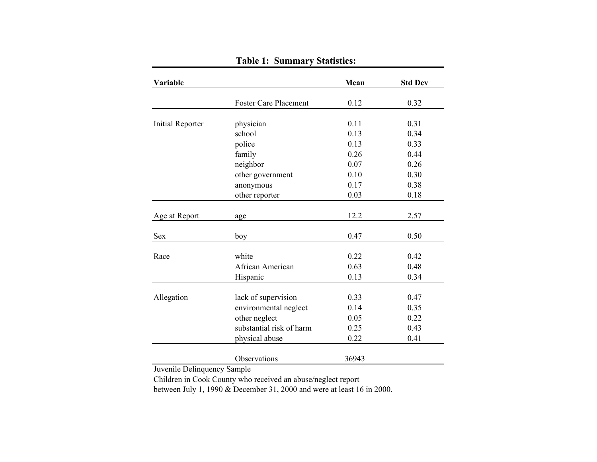| Variable                |                              | Mean  | <b>Std Dev</b> |
|-------------------------|------------------------------|-------|----------------|
|                         |                              |       |                |
|                         | <b>Foster Care Placement</b> | 0.12  | 0.32           |
| <b>Initial Reporter</b> | physician                    | 0.11  | 0.31           |
|                         | school                       | 0.13  | 0.34           |
|                         | police                       | 0.13  | 0.33           |
|                         | family                       | 0.26  | 0.44           |
|                         | neighbor                     | 0.07  | 0.26           |
|                         | other government             | 0.10  | 0.30           |
|                         | anonymous                    | 0.17  | 0.38           |
|                         | other reporter               | 0.03  | 0.18           |
|                         |                              |       |                |
| Age at Report           | age                          | 12.2  | 2.57           |
| Sex                     | boy                          | 0.47  | 0.50           |
|                         |                              |       |                |
| Race                    | white                        | 0.22  | 0.42           |
|                         | African American             | 0.63  | 0.48           |
|                         | Hispanic                     | 0.13  | 0.34           |
|                         |                              |       |                |
| Allegation              | lack of supervision          | 0.33  | 0.47           |
|                         | environmental neglect        | 0.14  | 0.35           |
|                         | other neglect                | 0.05  | 0.22           |
|                         | substantial risk of harm     | 0.25  | 0.43           |
|                         | physical abuse               | 0.22  | 0.41           |
|                         | Observations                 | 36943 |                |

# **Table 1: Summary Statistics:**

Juvenile Delinquency Sample

Children in Cook County who received an abuse/neglect report

between July 1, 1990 & December 31, 2000 and were at least 16 in 2000.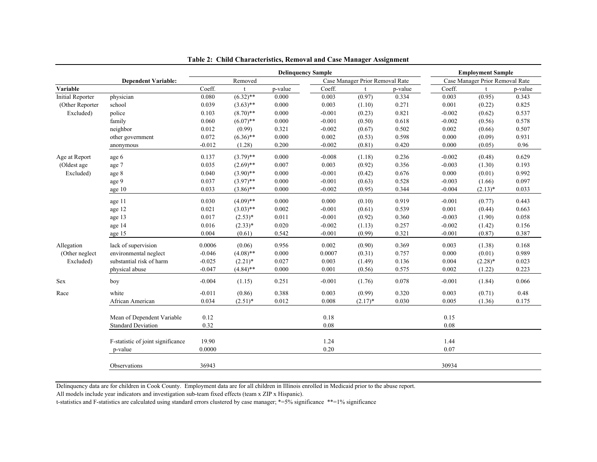|                         |                                   |          |             |         | <b>Delinquency Sample</b>       |            |                                 |          | <b>Employment Sample</b> |         |
|-------------------------|-----------------------------------|----------|-------------|---------|---------------------------------|------------|---------------------------------|----------|--------------------------|---------|
|                         | <b>Dependent Variable:</b>        | Removed  |             |         | Case Manager Prior Removal Rate |            | Case Manager Prior Removal Rate |          |                          |         |
| Variable                |                                   | Coeff.   |             | p-value | Coeff.                          | t          | p-value                         | Coeff.   | t                        | p-value |
| <b>Initial Reporter</b> | physician                         | 0.080    | $(6.32)$ ** | 0.000   | 0.003                           | (0.97)     | 0.334                           | 0.003    | (0.95)                   | 0.343   |
| (Other Reporter         | school                            | 0.039    | $(3.63)$ ** | 0.000   | 0.003                           | (1.10)     | 0.271                           | 0.001    | (0.22)                   | 0.825   |
| Excluded)               | police                            | 0.103    | $(8.70)$ ** | 0.000   | $-0.001$                        | (0.23)     | 0.821                           | $-0.002$ | (0.62)                   | 0.537   |
|                         | family                            | 0.060    | $(6.07)$ ** | 0.000   | $-0.001$                        | (0.50)     | 0.618                           | $-0.002$ | (0.56)                   | 0.578   |
|                         | neighbor                          | 0.012    | (0.99)      | 0.321   | $-0.002$                        | (0.67)     | 0.502                           | 0.002    | (0.66)                   | 0.507   |
|                         | other government                  | 0.072    | $(6.36)$ ** | 0.000   | 0.002                           | (0.53)     | 0.598                           | 0.000    | (0.09)                   | 0.931   |
|                         | anonymous                         | $-0.012$ | (1.28)      | 0.200   | $-0.002$                        | (0.81)     | 0.420                           | 0.000    | (0.05)                   | 0.96    |
| Age at Report           | age 6                             | 0.137    | $(3.79)$ ** | 0.000   | $-0.008$                        | (1.18)     | 0.236                           | $-0.002$ | (0.48)                   | 0.629   |
| (Oldest age             | age 7                             | 0.035    | $(2.69)$ ** | 0.007   | 0.003                           | (0.92)     | 0.356                           | $-0.003$ | (1.30)                   | 0.193   |
| Excluded)               | age 8                             | 0.040    | $(3.90)$ ** | 0.000   | $-0.001$                        | (0.42)     | 0.676                           | 0.000    | (0.01)                   | 0.992   |
|                         | age 9                             | 0.037    | $(3.97)$ ** | 0.000   | $-0.001$                        | (0.63)     | 0.528                           | $-0.003$ | (1.66)                   | 0.097   |
|                         | age 10                            | 0.033    | $(3.86)$ ** | 0.000   | $-0.002$                        | (0.95)     | 0.344                           | $-0.004$ | $(2.13)*$                | 0.033   |
|                         | age 11                            | 0.030    | $(4.09)$ ** | 0.000   | 0.000                           | (0.10)     | 0.919                           | $-0.001$ | (0.77)                   | 0.443   |
|                         | age 12                            | 0.021    | $(3.03)$ ** | 0.002   | $-0.001$                        | (0.61)     | 0.539                           | 0.001    | (0.44)                   | 0.663   |
|                         | age 13                            | 0.017    | $(2.53)*$   | 0.011   | $-0.001$                        | (0.92)     | 0.360                           | $-0.003$ | (1.90)                   | 0.058   |
|                         | age 14                            | 0.016    | $(2.33)*$   | 0.020   | $-0.002$                        | (1.13)     | 0.257                           | $-0.002$ | (1.42)                   | 0.156   |
|                         | age 15                            | 0.004    | (0.61)      | 0.542   | $-0.001$                        | (0.99)     | 0.321                           | $-0.001$ | (0.87)                   | 0.387   |
| Allegation              | lack of supervision               | 0.0006   | (0.06)      | 0.956   | 0.002                           | (0.90)     | 0.369                           | 0.003    | (1.38)                   | 0.168   |
| (Other neglect          | environmental neglect             | $-0.046$ | $(4.08)$ ** | 0.000   | 0.0007                          | (0.31)     | 0.757                           | 0.000    | (0.01)                   | 0.989   |
| Excluded)               | substantial risk of harm          | $-0.025$ | $(2.21)$ *  | 0.027   | 0.003                           | (1.49)     | 0.136                           | 0.004    | $(2.28)$ *               | 0.023   |
|                         | physical abuse                    | $-0.047$ | $(4.84)$ ** | 0.000   | 0.001                           | (0.56)     | 0.575                           | 0.002    | (1.22)                   | 0.223   |
|                         |                                   |          |             |         |                                 |            |                                 |          |                          |         |
| Sex                     | boy                               | $-0.004$ | (1.15)      | 0.251   | $-0.001$                        | (1.76)     | 0.078                           | $-0.001$ | (1.84)                   | 0.066   |
| Race                    | white                             | $-0.011$ | (0.86)      | 0.388   | 0.003                           | (0.99)     | 0.320                           | 0.003    | (0.71)                   | 0.48    |
|                         | African American                  | 0.034    | $(2.51)^*$  | 0.012   | 0.008                           | $(2.17)^*$ | 0.030                           | 0.005    | (1.36)                   | 0.175   |
|                         | Mean of Dependent Variable        | 0.12     |             |         | 0.18                            |            |                                 | 0.15     |                          |         |
|                         | <b>Standard Deviation</b>         | 0.32     |             |         | 0.08                            |            |                                 | 0.08     |                          |         |
|                         |                                   |          |             |         |                                 |            |                                 |          |                          |         |
|                         | F-statistic of joint significance | 19.90    |             |         | 1.24                            |            |                                 | 1.44     |                          |         |
|                         | p-value                           | 0.0000   |             |         | 0.20                            |            |                                 | 0.07     |                          |         |
|                         | Observations                      | 36943    |             |         |                                 |            |                                 | 30934    |                          |         |

|  | Table 2: Child Characteristics, Removal and Case Manager Assignment |  |  |
|--|---------------------------------------------------------------------|--|--|
|  |                                                                     |  |  |

Delinquency data are for children in Cook County. Employment data are for all children in Illinois enrolled in Medicaid prior to the abuse report.

All models include year indicators and investigation sub-team fixed effects (team x ZIP x Hispanic).

t-statistics and F-statistics are calculated using standard errors clustered by case manager; \*=5% significance \*\*=1% significance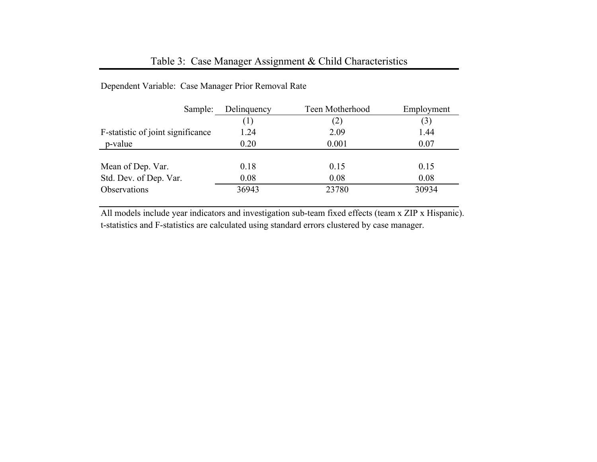## Table 3: Case Manager Assignment & Child Characteristics

| Sample:                           | Delinquency | Teen Motherhood | Employment |
|-----------------------------------|-------------|-----------------|------------|
|                                   | (1)         | (2)             | (3)        |
| F-statistic of joint significance | 1.24        | 2.09            | 1.44       |
| p-value                           | 0.20        | 0.001           | 0.07       |
|                                   |             |                 |            |
| Mean of Dep. Var.                 | 0.18        | 0.15            | 0.15       |
| Std. Dev. of Dep. Var.            | 0.08        | 0.08            | 0.08       |
| Observations                      | 36943       | 23780           | 30934      |

## Dependent Variable: Case Manager Prior Removal Rate

All models include year indicators and investigation sub-team fixed effects (team x ZIP x Hispanic). t-statistics and F-statistics are calculated using standard errors clustered by case manager.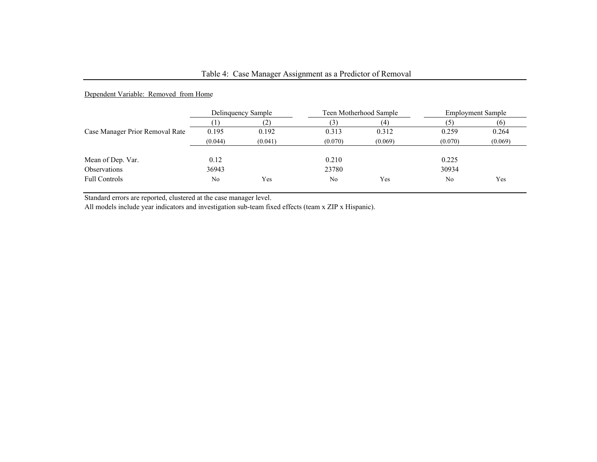## Table 4: Case Manager Assignment as a Predictor of Removal

#### Dependent Variable: Removed from Home

|                                 | Delinquency Sample |         |                | Teen Motherhood Sample | <b>Employment Sample</b> |         |
|---------------------------------|--------------------|---------|----------------|------------------------|--------------------------|---------|
|                                 |                    | 2       | $\mathfrak{I}$ |                        |                          |         |
| Case Manager Prior Removal Rate | 0.195              | 0.192   | 0.313          | 0.312                  | 0.259                    | 0.264   |
|                                 | (0.044)            | (0.041) | (0.070)        | (0.069)                | (0.070)                  | (0.069) |
|                                 |                    |         |                |                        |                          |         |
| Mean of Dep. Var.               | 0.12               |         | 0.210          |                        | 0.225                    |         |
| Observations                    | 36943              |         | 23780          |                        | 30934                    |         |
| <b>Full Controls</b>            | No                 | Yes     | No             | Yes                    | No                       | Yes     |

Standard errors are reported, clustered at the case manager level.

All models include year indicators and investigation sub-team fixed effects (team x ZIP x Hispanic).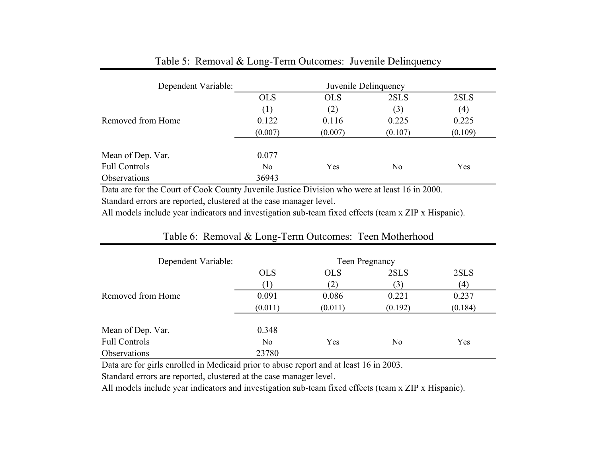| Dependent Variable:  |                | Juvenile Delinquency |         |         |  |
|----------------------|----------------|----------------------|---------|---------|--|
|                      | <b>OLS</b>     | <b>OLS</b>           | 2SLS    | 2SLS    |  |
|                      |                | (2)                  | (3)     | (4)     |  |
| Removed from Home    | 0.122          | 0.116                | 0.225   | 0.225   |  |
|                      | (0.007)        | (0.007)              | (0.107) | (0.109) |  |
| Mean of Dep. Var.    | 0.077          |                      |         |         |  |
| <b>Full Controls</b> | N <sub>0</sub> | Yes                  | No      | Yes     |  |
| Observations         | 36943          |                      |         |         |  |

## Table 5: Removal & Long-Term Outcomes: Juvenile Delinquency

Data are for the Court of Cook County Juvenile Justice Division who were at least 16 in 2000.

Standard errors are reported, clustered at the case manager level.

All models include year indicators and investigation sub-team fixed effects (team x ZIP x Hispanic).

| Dependent Variable:  | Teen Pregnancy |            |         |         |  |
|----------------------|----------------|------------|---------|---------|--|
|                      | <b>OLS</b>     | <b>OLS</b> | 2SLS    | 2SLS    |  |
|                      |                | (2)        | (3)     | (4)     |  |
| Removed from Home    | 0.091          | 0.086      | 0.221   | 0.237   |  |
|                      | (0.011)        | (0.011)    | (0.192) | (0.184) |  |
|                      |                |            |         |         |  |
| Mean of Dep. Var.    | 0.348          |            |         |         |  |
| <b>Full Controls</b> | No.            | Yes        | No      | Yes     |  |
| Observations         | 23780          |            |         |         |  |

## Table 6: Removal & Long-Term Outcomes: Teen Motherhood

Data are for girls enrolled in Medicaid prior to abuse report and at least 16 in 2003.

Standard errors are reported, clustered at the case manager level.

All models include year indicators and investigation sub-team fixed effects (team x ZIP x Hispanic).